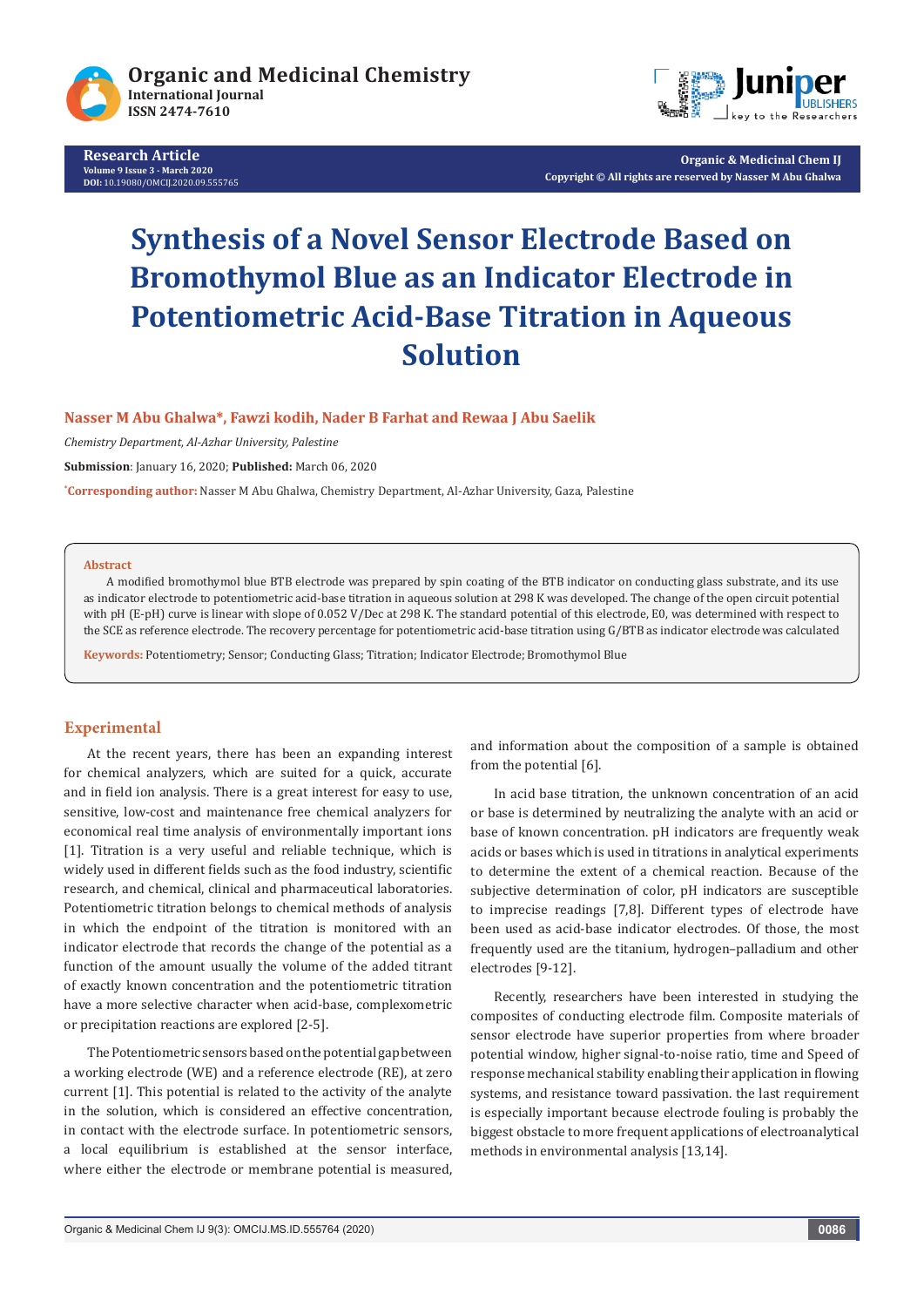

**Research Article Volume 9 Issue 3 - March 2020 DOI:** [10.19080/OMCIJ.2020.09.555765](http://dx.doi.org/10.19080/OMCIJ.2020.09.555764)



**Organic & Medicinal Chem IJ Copyright © All rights are reserved by Nasser M Abu Ghalwa**

# **Synthesis of a Novel Sensor Electrode Based on Bromothymol Blue as an Indicator Electrode in Potentiometric Acid-Base Titration in Aqueous Solution**

**Nasser M Abu Ghalwa\*, Fawzi kodih, Nader B Farhat and Rewaa J Abu Saelik**

*Chemistry Department, Al-Azhar University, Palestine*

**Submission**: January 16, 2020; **Published:** March 06, 2020

**\* Corresponding author:** Nasser M Abu Ghalwa, Chemistry Department, Al-Azhar University, Gaza, Palestine

#### **Abstract**

A modified bromothymol blue BTB electrode was prepared by spin coating of the BTB indicator on conducting glass substrate, and its use as indicator electrode to potentiometric acid-base titration in aqueous solution at 298 K was developed. The change of the open circuit potential with pH (E-pH) curve is linear with slope of 0.052 V/Dec at 298 K. The standard potential of this electrode, E0, was determined with respect to the SCE as reference electrode. The recovery percentage for potentiometric acid-base titration using G/BTB as indicator electrode was calculated

**Keywords:** Potentiometry; Sensor; Conducting Glass; Titration; Indicator Electrode; Bromothymol Blue

# **Experimental**

At the recent years, there has been an expanding interest for chemical analyzers, which are suited for a quick, accurate and in field ion analysis. There is a great interest for easy to use, sensitive, low-cost and maintenance free chemical analyzers for economical real time analysis of environmentally important ions [1]. Titration is a very useful and reliable technique, which is widely used in different fields such as the food industry, scientific research, and chemical, clinical and pharmaceutical laboratories. Potentiometric titration belongs to chemical methods of analysis in which the endpoint of the titration is monitored with an indicator electrode that records the change of the potential as a function of the amount usually the volume of the added titrant of exactly known concentration and the potentiometric titration have a more selective character when acid-base, complexometric or precipitation reactions are explored [2-5].

The Potentiometric sensors based on the potential gap between a working electrode (WE) and a reference electrode (RE), at zero current [1]. This potential is related to the activity of the analyte in the solution, which is considered an effective concentration, in contact with the electrode surface. In potentiometric sensors, a local equilibrium is established at the sensor interface, where either the electrode or membrane potential is measured,

and information about the composition of a sample is obtained from the potential [6].

In acid base titration, the unknown concentration of an acid or base is determined by neutralizing the analyte with an acid or base of known concentration. pH indicators are frequently weak acids or bases which is used in titrations in analytical experiments to determine the extent of a chemical reaction. Because of the subjective determination of color, pH indicators are susceptible to imprecise readings [7,8]. Different types of electrode have been used as acid-base indicator electrodes. Of those, the most frequently used are the titanium, hydrogen–palladium and other electrodes [9-12].

Recently, researchers have been interested in studying the composites of conducting electrode film. Composite materials of sensor electrode have superior properties from where broader potential window, higher signal-to-noise ratio, time and Speed of response mechanical stability enabling their application in flowing systems, and resistance toward passivation. the last requirement is especially important because electrode fouling is probably the biggest obstacle to more frequent applications of electroanalytical methods in environmental analysis [13,14].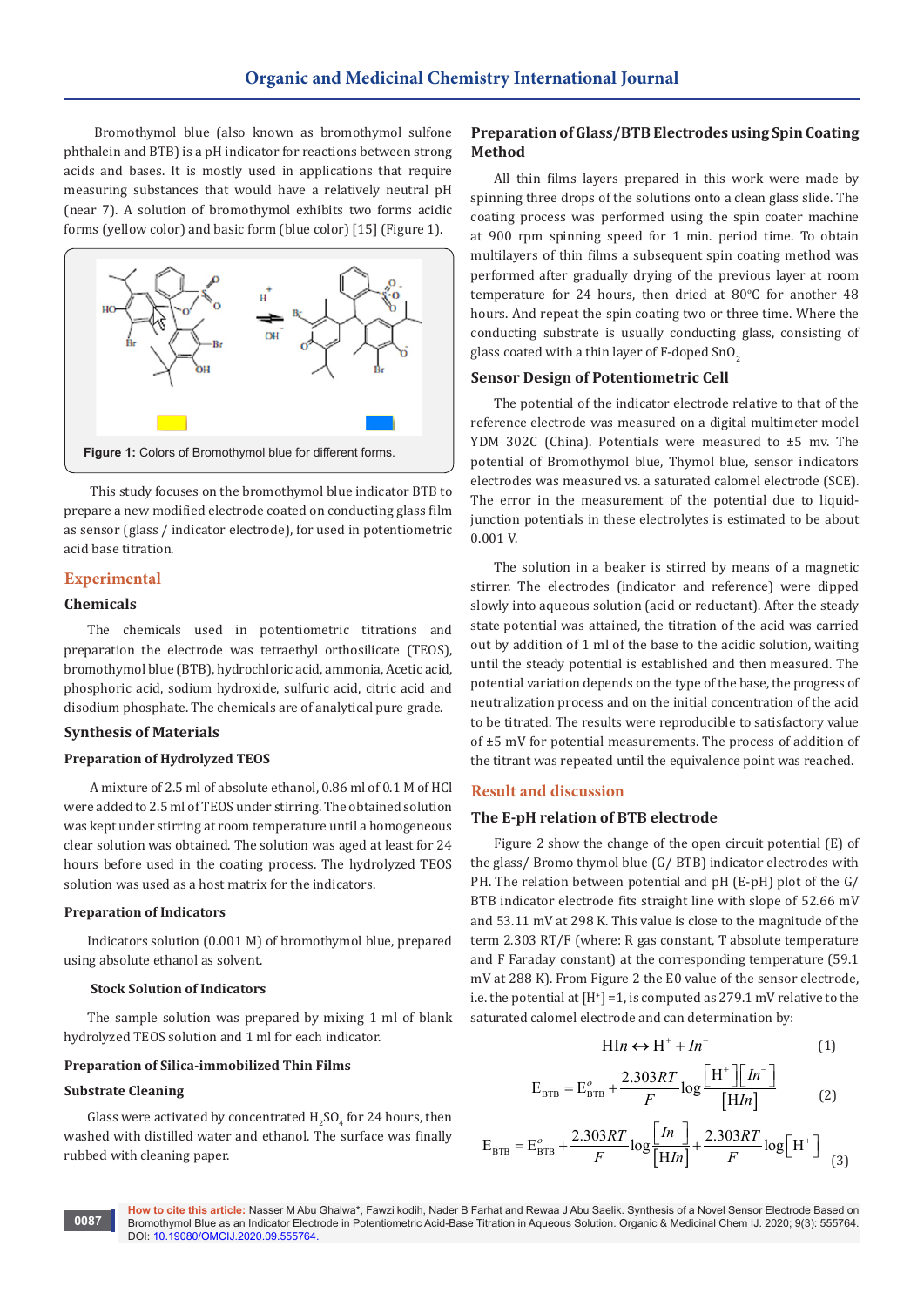Bromothymol blue (also known as bromothymol sulfone phthalein and BTB) is a pH indicator for reactions between strong acids and bases. It is mostly used in applications that require measuring substances that would have a relatively neutral pH (near 7). A solution of bromothymol exhibits two forms acidic forms (yellow color) and basic form (blue color) [15] (Figure 1).



 This study focuses on the bromothymol blue indicator BTB to prepare a new modified electrode coated on conducting glass film as sensor (glass / indicator electrode), for used in potentiometric acid base titration.

# **Experimental**

## **Chemicals**

The chemicals used in potentiometric titrations and preparation the electrode was tetraethyl orthosilicate (TEOS), bromothymol blue (BTB), hydrochloric acid, ammonia, Acetic acid, phosphoric acid, sodium hydroxide, sulfuric acid, citric acid and disodium phosphate. The chemicals are of analytical pure grade.

## **Synthesis of Materials**

## **Preparation of Hydrolyzed TEOS**

 A mixture of 2.5 ml of absolute ethanol, 0.86 ml of 0.1 M of HCl were added to 2.5 ml of TEOS under stirring. The obtained solution was kept under stirring at room temperature until a homogeneous clear solution was obtained. The solution was aged at least for 24 hours before used in the coating process. The hydrolyzed TEOS solution was used as a host matrix for the indicators.

#### **Preparation of Indicators**

Indicators solution (0.001 M) of bromothymol blue, prepared using absolute ethanol as solvent.

#### **Stock Solution of Indicators**

The sample solution was prepared by mixing 1 ml of blank hydrolyzed TEOS solution and 1 ml for each indicator.

#### **Preparation of Silica-immobilized Thin Films**

## **Substrate Cleaning**

Glass were activated by concentrated  $\rm{H_2SO_4}$  for 24 hours, then washed with distilled water and ethanol. The surface was finally rubbed with cleaning paper.

# **Preparation of Glass/BTB Electrodes using Spin Coating Method**

All thin films layers prepared in this work were made by spinning three drops of the solutions onto a clean glass slide. The coating process was performed using the spin coater machine at 900 rpm spinning speed for 1 min. period time. To obtain multilayers of thin films a subsequent spin coating method was performed after gradually drying of the previous layer at room temperature for 24 hours, then dried at  $80^{\circ}$ C for another  $48$ hours. And repeat the spin coating two or three time. Where the conducting substrate is usually conducting glass, consisting of glass coated with a thin layer of F-doped  $SnO<sub>2</sub>$ 

## **Sensor Design of Potentiometric Cell**

The potential of the indicator electrode relative to that of the reference electrode was measured on a digital multimeter model YDM 302C (China). Potentials were measured to ±5 mv. The potential of Bromothymol blue, Thymol blue, sensor indicators electrodes was measured vs. a saturated calomel electrode (SCE). The error in the measurement of the potential due to liquidjunction potentials in these electrolytes is estimated to be about 0.001 V.

The solution in a beaker is stirred by means of a magnetic stirrer. The electrodes (indicator and reference) were dipped slowly into aqueous solution (acid or reductant). After the steady state potential was attained, the titration of the acid was carried out by addition of 1 ml of the base to the acidic solution, waiting until the steady potential is established and then measured. The potential variation depends on the type of the base, the progress of neutralization process and on the initial concentration of the acid to be titrated. The results were reproducible to satisfactory value of ±5 mV for potential measurements. The process of addition of the titrant was repeated until the equivalence point was reached.

#### **Result and discussion**

#### **The E-pH relation of BTB electrode**

Figure 2 show the change of the open circuit potential (E) of the glass/ Bromo thymol blue (G/ BTB) indicator electrodes with PH. The relation between potential and pH (E-pH) plot of the G/ BTB indicator electrode fits straight line with slope of 52.66 mV and 53.11 mV at 298 K. This value is close to the magnitude of the term 2.303 RT/F (where: R gas constant, T absolute temperature and F Faraday constant) at the corresponding temperature (59.1 mV at 288 K). From Figure 2 the E0 value of the sensor electrode, i.e. the potential at [H<sup>+</sup> ] =1, is computed as 279.1 mV relative to the saturated calomel electrode and can determination by:

$$
HIn \leftrightarrow H^{+} + In^{-}
$$
 (1)

$$
E_{\text{BTB}} = E_{\text{BTB}}^o + \frac{2.303RT}{F} \log \frac{\left[H^+ \right] \left[ In^- \right]}{\left[ HIn \right]}
$$
 (2)

$$
E_{\text{BTB}} = E_{\text{BTB}}^o + \frac{2.303RT}{F} \log \left[ \frac{[In^-]}{[HIn]} \right] + \frac{2.303RT}{F} \log \left[ H^+ \right] \tag{3}
$$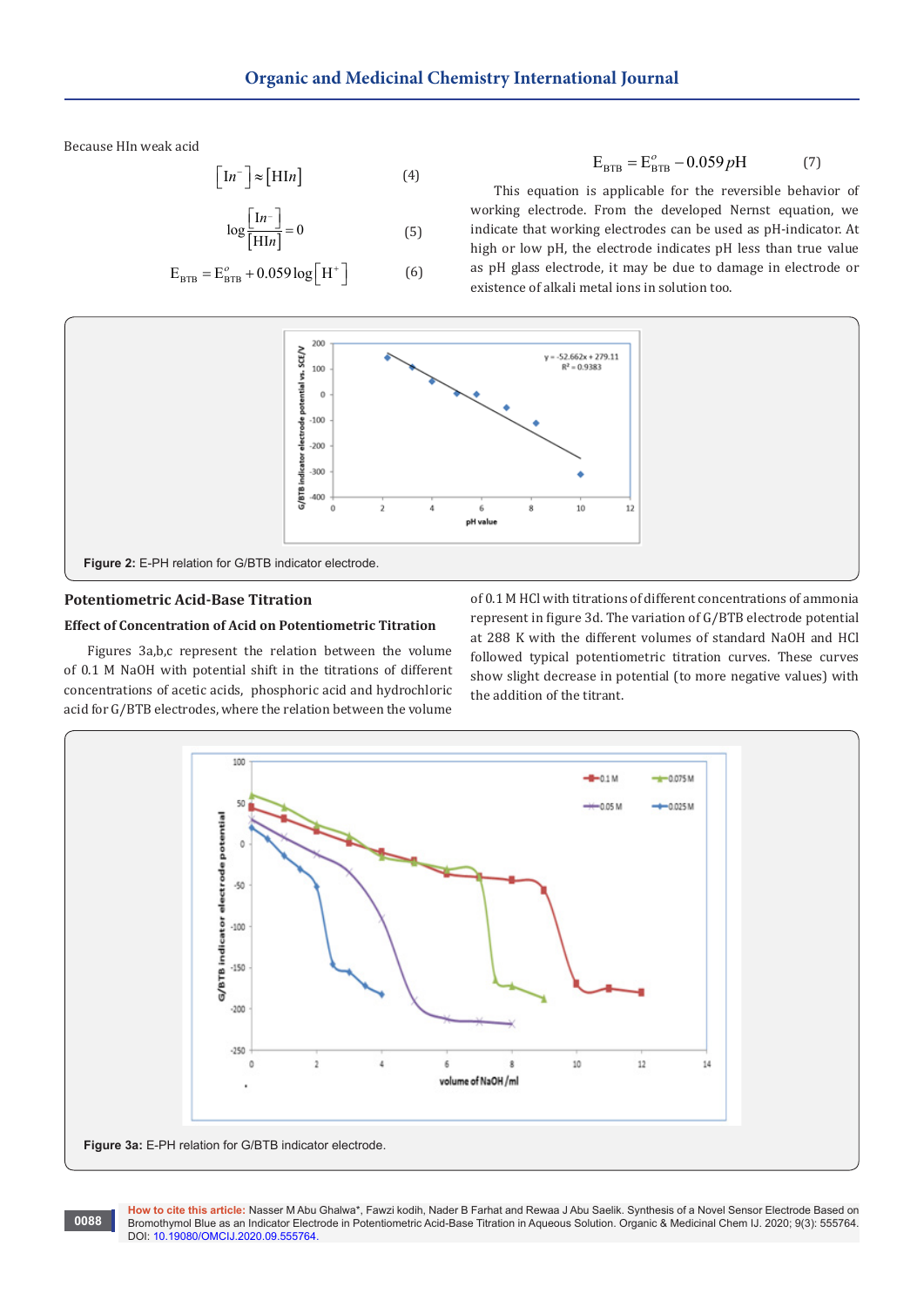Because HIn weak acid

$$
\left[\mathrm{In}^{-}\right] \approx \left[\mathrm{HIn}\right]
$$
 (4)

$$
\log \frac{\left[1n^{-}\right]}{\left[\text{H1}n\right]} = 0\tag{5}
$$

$$
E_{\text{BTB}} = E_{\text{BTB}}^o + 0.059 \log[H^+]
$$
 (6)

 $E_{BTR} = E_{BTR}^{\circ} - 0.059 pH$  (7)

This equation is applicable for the reversible behavior of working electrode. From the developed Nernst equation, we indicate that working electrodes can be used as pH-indicator. At high or low pH, the electrode indicates pH less than true value as pH glass electrode, it may be due to damage in electrode or existence of alkali metal ions in solution too.



# **Potentiometric Acid-Base Titration**

# **Effect of Concentration of Acid on Potentiometric Titration**

Figures 3a,b,c represent the relation between the volume of 0.1 M NaOH with potential shift in the titrations of different concentrations of acetic acids, phosphoric acid and hydrochloric acid for G/BTB electrodes, where the relation between the volume

of 0.1 M HCl with titrations of different concentrations of ammonia represent in figure 3d. The variation of G/BTB electrode potential at 288 K with the different volumes of standard NaOH and HCl followed typical potentiometric titration curves. These curves show slight decrease in potential (to more negative values) with the addition of the titrant.

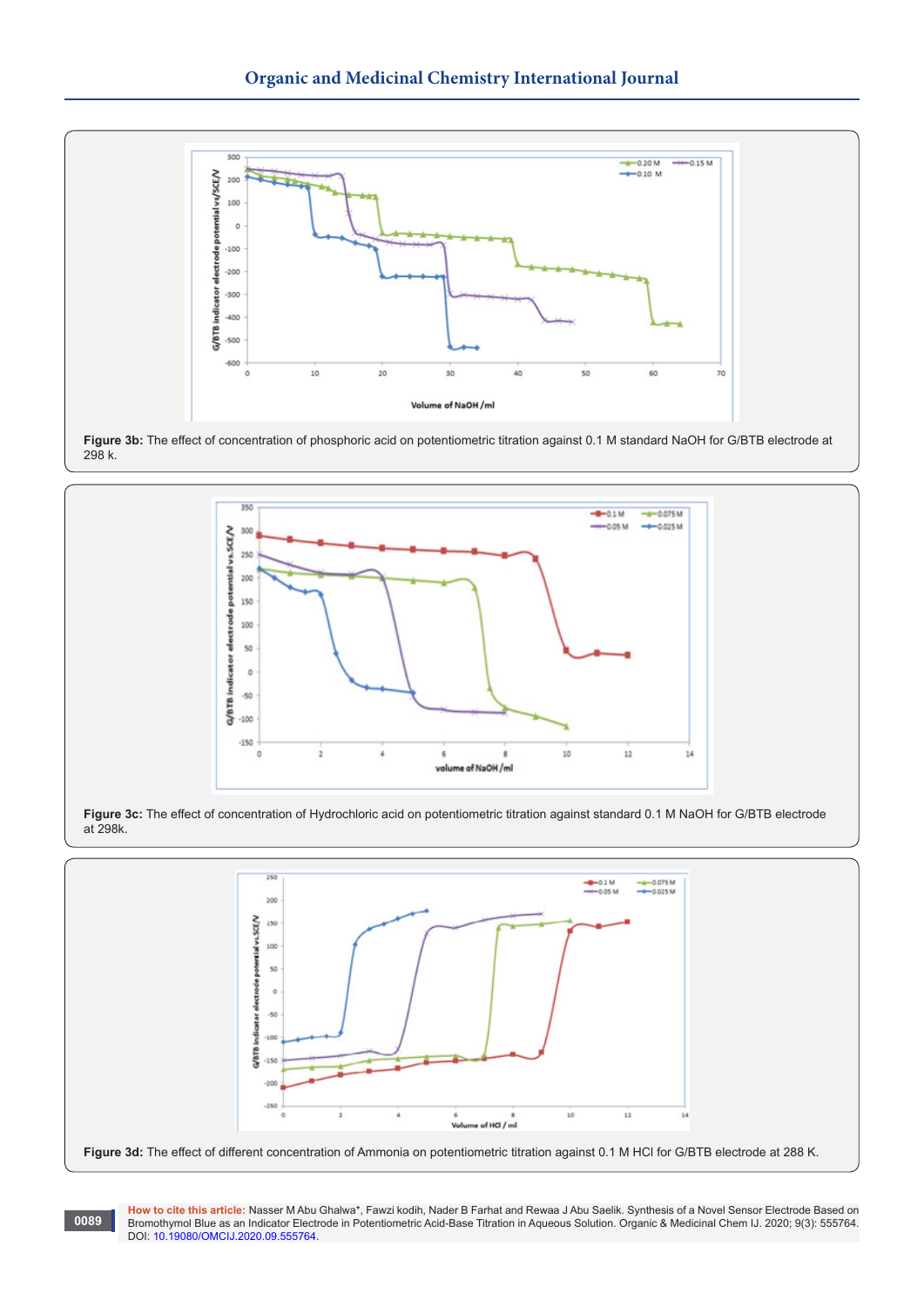









**How to cite this article:** Nasser M Abu Ghalwa\*, Fawzi kodih, Nader B Farhat and Rewaa J Abu Saelik. Synthesis of a Novel Sensor Electrode Based on Bromothymol Blue as an Indicator Electrode in Potentiometric Acid-Base Titration in Aqueous Solution. Organic & Medicinal Chem IJ. 2020; 9(3): 555764. DOI: [10.19080/OMCIJ.2020.09.555764.](http://dx.doi.org/10.19080/OMCIJ.2020.09.555764)

**0089**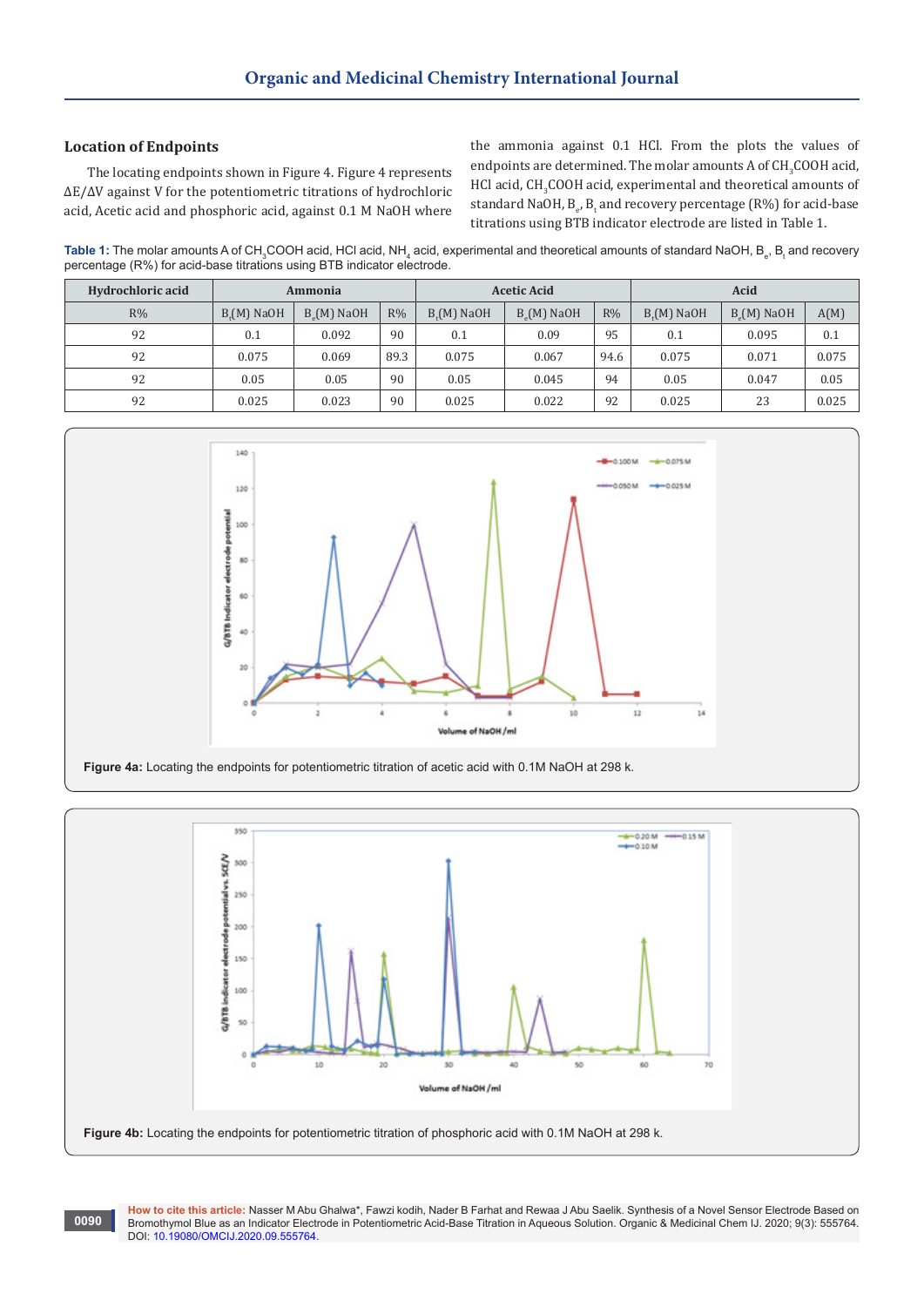# **Location of Endpoints**

**0090**

The locating endpoints shown in Figure 4. Figure 4 represents ΔE/ΔV against V for the potentiometric titrations of hydrochloric acid, Acetic acid and phosphoric acid, against 0.1 M NaOH where

the ammonia against 0.1 HCl. From the plots the values of endpoints are determined. The molar amounts  ${\bf A}$  of  ${\bf CH}_3{\bf COOH}$  acid,  $HCl$  acid,  $CH_3COOH$  acid, experimental and theoretical amounts of standard NaOH, B<sub>e</sub>, B<sub>t</sub> and recovery percentage (R%) for acid-base titrations using BTB indicator electrode are listed in Table 1.

 ${\sf Table~1:}$  The molar amounts A of CH $_{_3}$ COOH acid, HCl acid, NH $_{_4}$  acid, experimental and theoretical amounts of standard NaOH, B $_{_{6}},$  B $_{_{6}}$  and recovery percentage (R%) for acid-base titrations using BTB indicator electrode.

| Hydrochloric acid | Ammonia     |                 |       | <b>Acetic Acid</b> |                 |      | Acid        |                 |       |
|-------------------|-------------|-----------------|-------|--------------------|-----------------|------|-------------|-----------------|-------|
| R%                | $B(M)$ NaOH | $B_{o}(M)$ NaOH | $R\%$ | $B(M)$ NaOH        | $B_{o}(M)$ NaOH | R%   | $B(M)$ NaOH | $B_{s}(M)$ NaOH | A(M)  |
| 92                | 0.1         | 0.092           | 90    | 0.1                | 0.09            | 95   | 0.1         | 0.095           | 0.1   |
| 92                | 0.075       | 0.069           | 89.3  | 0.075              | 0.067           | 94.6 | 0.075       | 0.071           | 0.075 |
| 92                | 0.05        | 0.05            | 90    | 0.05               | 0.045           | 94   | 0.05        | 0.047           | 0.05  |
| 92                | 0.025       | 0.023           | 90    | 0.025              | 0.022           | 92   | 0.025       | 23              | 0.025 |





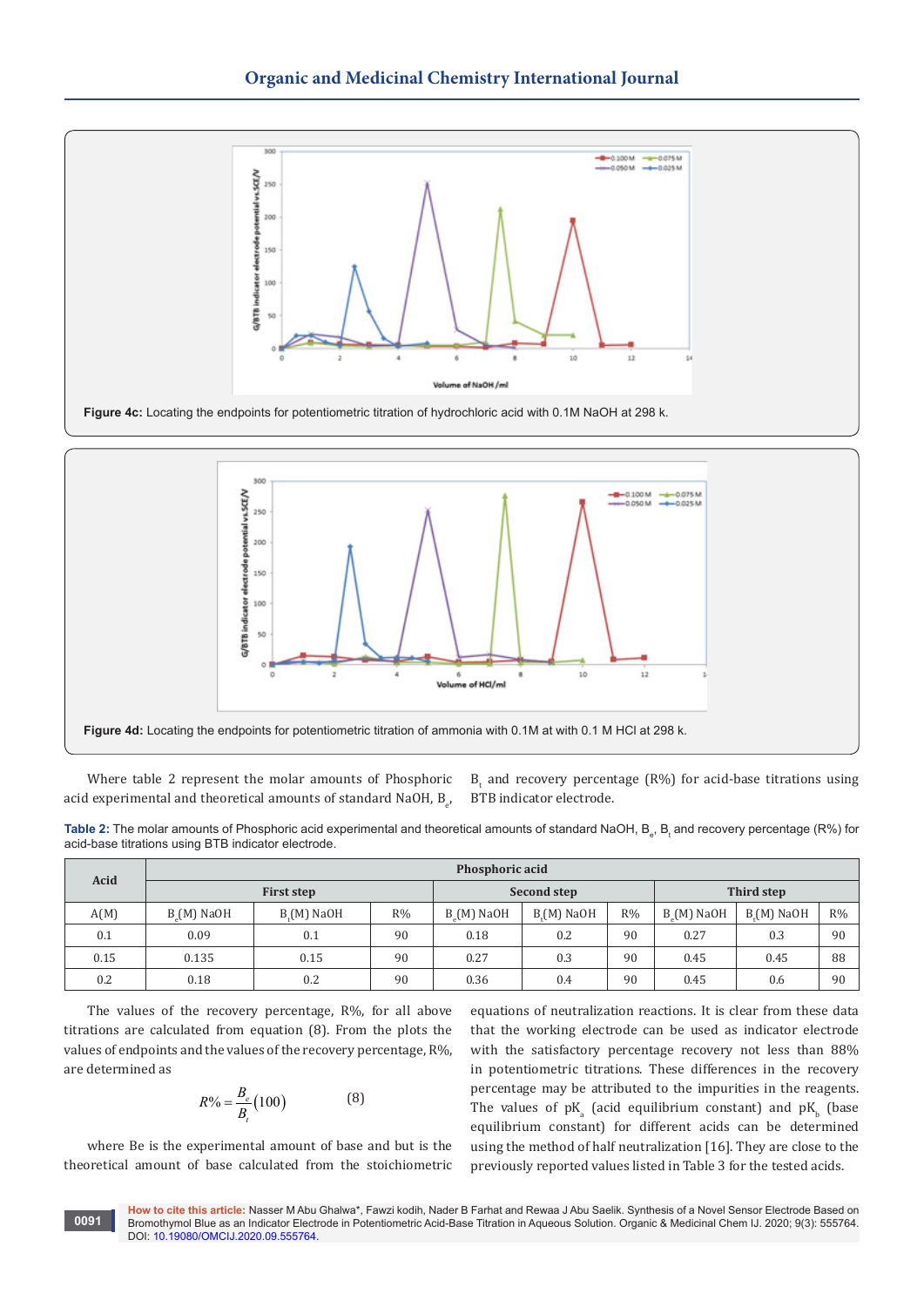



Where table 2 represent the molar amounts of Phosphoric acid experimental and theoretical amounts of standard NaOH,  $B_{e^\prime}$   $B_t$  and recovery percentage (R%) for acid-base titrations using BTB indicator electrode.

**Table 2:** The molar amounts of Phosphoric acid experimental and theoretical amounts of standard NaOH, B<sub>e</sub>, B<sub>t</sub> and recovery percentage (R%) for acid-base titrations using BTB indicator electrode.

| Acid | Phosphoric acid |                   |             |             |             |            |                 |             |       |
|------|-----------------|-------------------|-------------|-------------|-------------|------------|-----------------|-------------|-------|
|      |                 | <b>First step</b> | Second step |             |             | Third step |                 |             |       |
| A(M) | $B(M)$ NaOH     | $B(M)$ NaOH       | $R\%$       | $B(M)$ NaOH | $B(M)$ NaOH | $R\%$      | $B_{o}(M)$ NaOH | $B(M)$ NaOH | $R\%$ |
| 0.1  | 0.09            | 0.1               | 90          | 0.18        | 0.2         | 90         | 0.27            | 0.3         | 90    |
| 0.15 | 0.135           | 0.15              | 90          | 0.27        | 0.3         | 90         | 0.45            | 0.45        | 88    |
| 0.2  | 0.18            | 0.2               | 90          | 0.36        | 0.4         | 90         | 0.45            | 0.6         | 90    |

The values of the recovery percentage, R%, for all above titrations are calculated from equation (8). From the plots the values of endpoints and the values of the recovery percentage,  $R\%$ . are determined as

$$
R\% = \frac{B_e}{B_t} (100) \tag{8}
$$

where Be is the experimental amount of base and but is the theoretical amount of base calculated from the stoichiometric equations of neutralization reactions. It is clear from these data that the working electrode can be used as indicator electrode with the satisfactory percentage recovery not less than 88% in potentiometric titrations. These differences in the recovery percentage may be attributed to the impurities in the reagents. The values of  $pK_a$  (acid equilibrium constant) and  $pK_b$  (base equilibrium constant) for different acids can be determined using the method of half neutralization [16]. They are close to the previously reported values listed in Table 3 for the tested acids.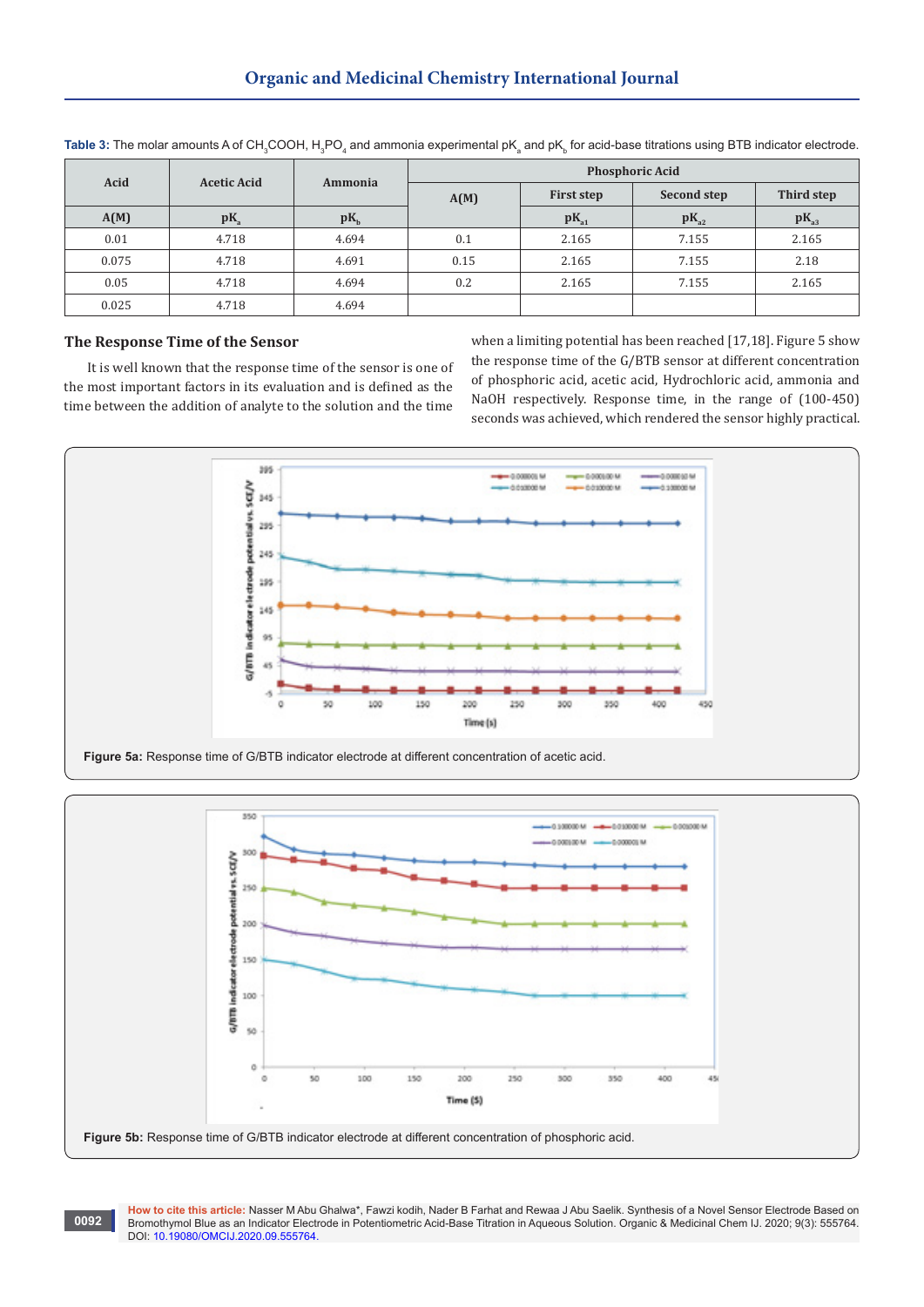| Acid  | <b>Acetic Acid</b> | Ammonia | <b>Phosphoric Acid</b> |                   |             |            |  |  |
|-------|--------------------|---------|------------------------|-------------------|-------------|------------|--|--|
|       |                    |         | A(M)                   | <b>First step</b> | Second step | Third step |  |  |
| A(M)  | $pK_a$             | $pK_h$  |                        | $pK_{a1}$         | $pK_{a2}$   | $pK_{a3}$  |  |  |
| 0.01  | 4.718              | 4.694   | 0.1                    | 2.165             | 7.155       | 2.165      |  |  |
| 0.075 | 4.718              | 4.691   | 0.15                   | 2.165             | 7.155       | 2.18       |  |  |
| 0.05  | 4.718              | 4.694   | 0.2                    | 2.165             | 7.155       | 2.165      |  |  |
| 0.025 | 4.718              | 4.694   |                        |                   |             |            |  |  |

 ${\sf Table~3}\!\!$  The molar amounts A of CH $_{\tiny 3}$ COOH, H $_{\tiny 3}$ PO $_{\tiny 4}$  and ammonia experimental pK $_{\tiny 5}$  and pK $_{\tiny 5}$  for acid-base titrations using BTB indicator electrode.

# **The Response Time of the Sensor**

**0092**

It is well known that the response time of the sensor is one of the most important factors in its evaluation and is defined as the time between the addition of analyte to the solution and the time

when a limiting potential has been reached [17,18]. Figure 5 show the response time of the G/BTB sensor at different concentration of phosphoric acid, acetic acid, Hydrochloric acid, ammonia and NaOH respectively. Response time, in the range of (100-450) seconds was achieved, which rendered the sensor highly practical.





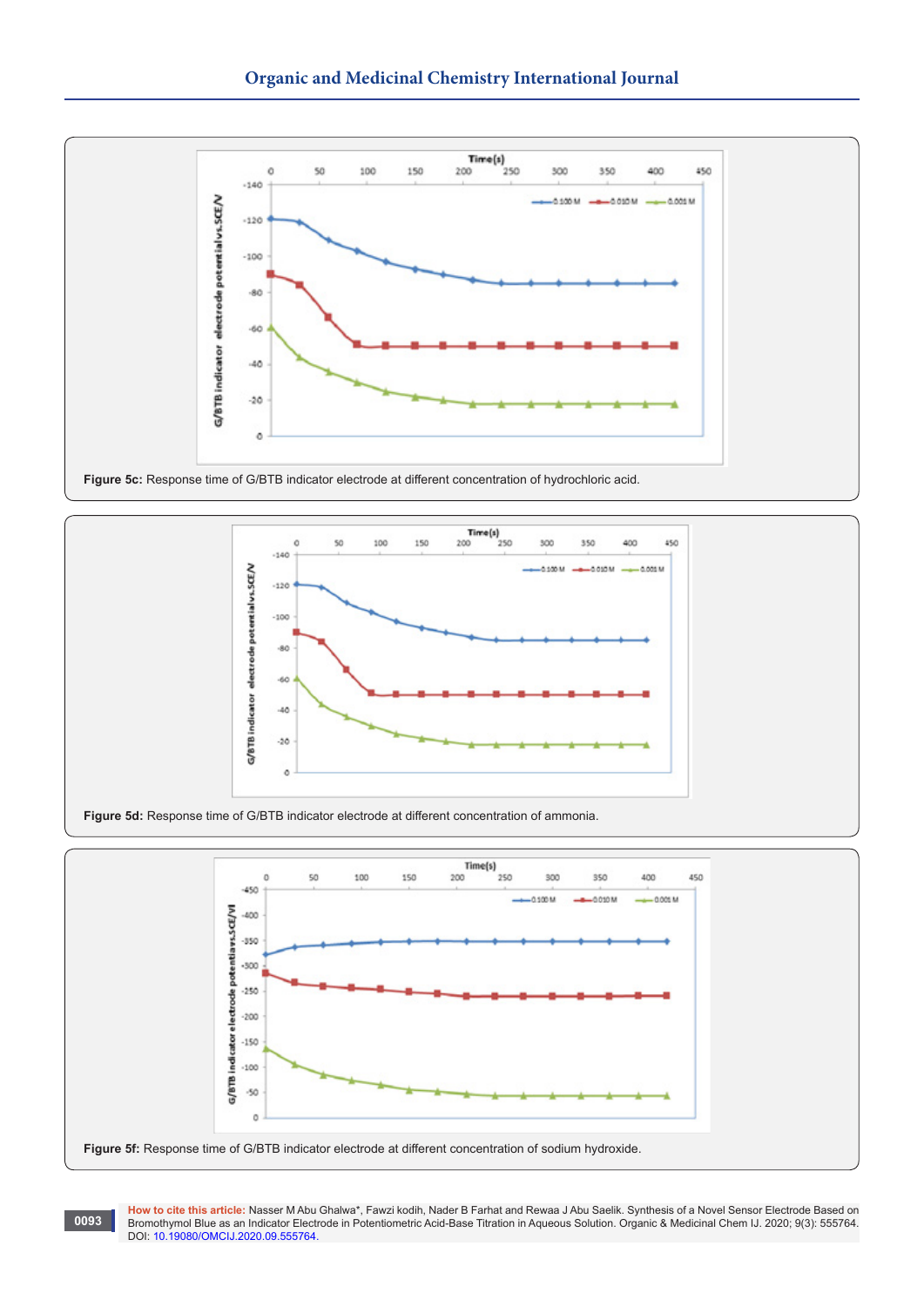

**Figure 5c:** Response time of G/BTB indicator electrode at different concentration of hydrochloric acid.





**How to cite this article:** Nasser M Abu Ghalwa\*, Fawzi kodih, Nader B Farhat and Rewaa J Abu Saelik. Synthesis of a Novel Sensor Electrode Based on Bromothymol Blue as an Indicator Electrode in Potentiometric Acid-Base Titration in Aqueous Solution. Organic & Medicinal Chem IJ. 2020; 9(3): 555764. DOI: [10.19080/OMCIJ.2020.09.555764.](http://dx.doi.org/10.19080/OMCIJ.2020.09.555764)

**0093**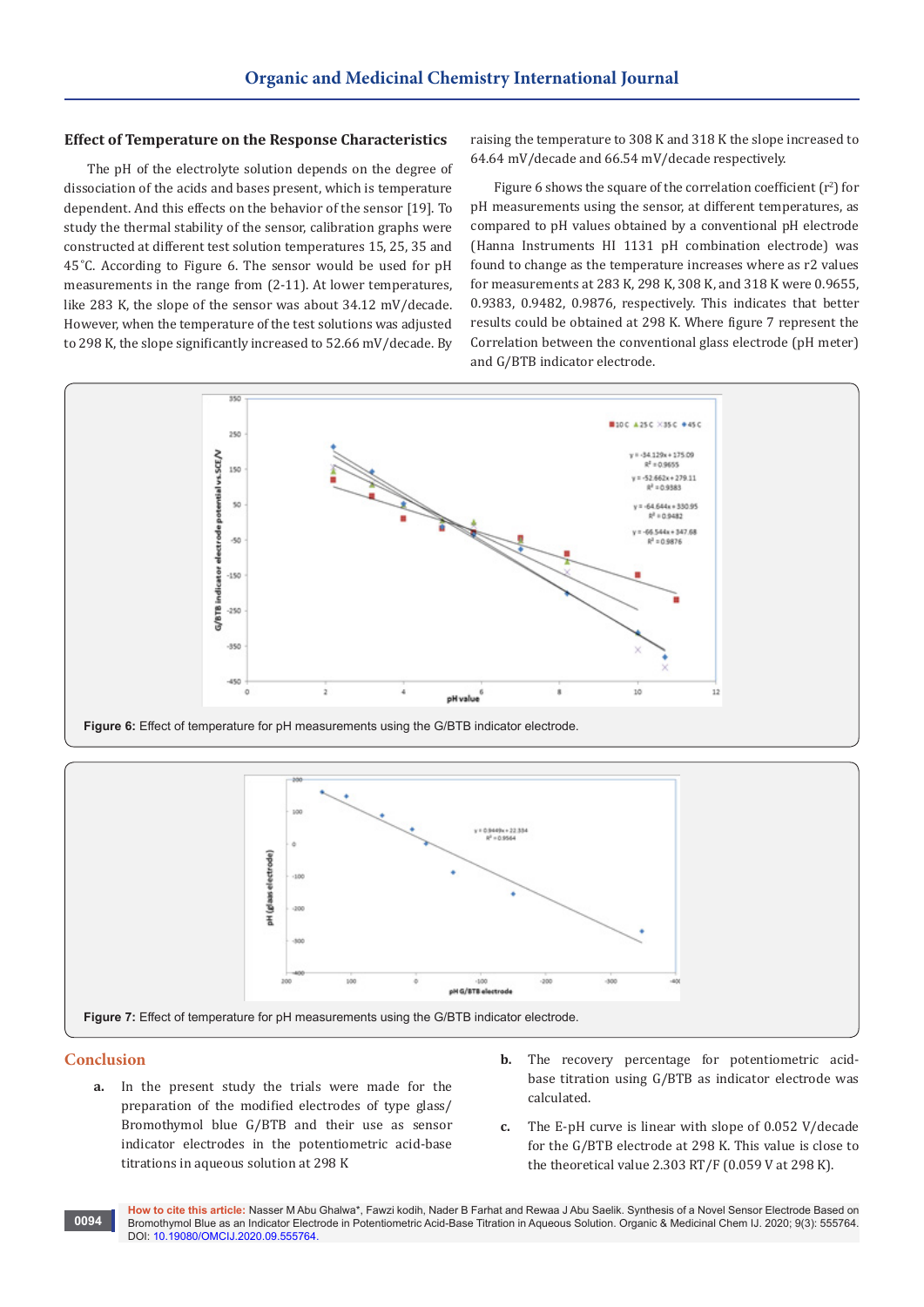# **Effect of Temperature on the Response Characteristics**

The pH of the electrolyte solution depends on the degree of dissociation of the acids and bases present, which is temperature dependent. And this effects on the behavior of the sensor [19]. To study the thermal stability of the sensor, calibration graphs were constructed at different test solution temperatures 15, 25, 35 and 45 ̊C. According to Figure 6. The sensor would be used for pH measurements in the range from (2-11). At lower temperatures, like 283 K, the slope of the sensor was about 34.12 mV/decade. However, when the temperature of the test solutions was adjusted to 298 K, the slope significantly increased to 52.66 mV/decade. By raising the temperature to 308 K and 318 K the slope increased to 64.64 mV/decade and 66.54 mV/decade respectively.

Figure 6 shows the square of the correlation coefficient  $(r^2)$  for pH measurements using the sensor, at different temperatures, as compared to pH values obtained by a conventional pH electrode (Hanna Instruments HI 1131 pH combination electrode) was found to change as the temperature increases where as r2 values for measurements at 283 K, 298 K, 308 K, and 318 K were 0.9655, 0.9383, 0.9482, 0.9876, respectively. This indicates that better results could be obtained at 298 K. Where figure 7 represent the Correlation between the conventional glass electrode (pH meter) and G/BTB indicator electrode.





# **Conclusion**

- **a.** In the present study the trials were made for the preparation of the modified electrodes of type glass/ Bromothymol blue G/BTB and their use as sensor indicator electrodes in the potentiometric acid-base titrations in aqueous solution at 298 K
- **b.** The recovery percentage for potentiometric acidbase titration using G/BTB as indicator electrode was calculated.
- **c.** The E-pH curve is linear with slope of 0.052 V/decade for the G/BTB electrode at 298 K. This value is close to the theoretical value 2.303 RT/F (0.059 V at 298 K).

**How to cite this article:** Nasser M Abu Ghalwa\*, Fawzi kodih, Nader B Farhat and Rewaa J Abu Saelik. Synthesis of a Novel Sensor Electrode Based on Bromothymol Blue as an Indicator Electrode in Potentiometric Acid-Base Titration in Aqueous Solution. Organic & Medicinal Chem IJ. 2020; 9(3): 555764. DOI: [10.19080/OMCIJ.2020.09.555764.](http://dx.doi.org/10.19080/OMCIJ.2020.09.555764) **0094**